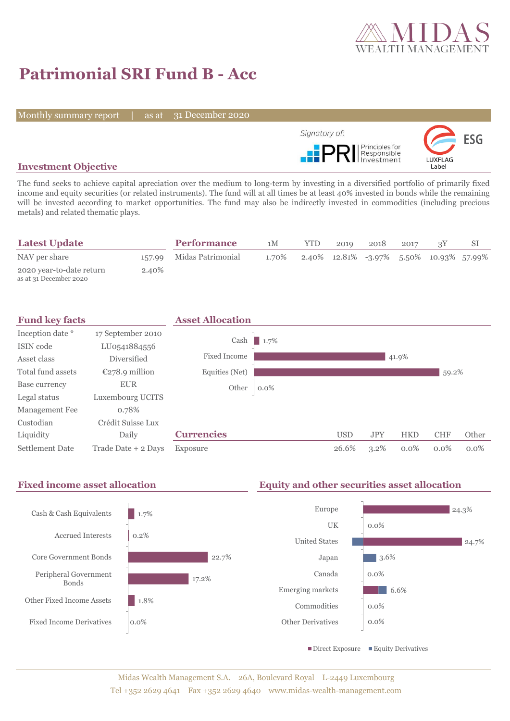

# **Patrimonial SRI Fund B - Acc**

Monthly summary report

31 December 2020



## **Investment Objective**

The fund seeks to achieve capital apreciation over the medium to long-term by investing in a diversified portfolio of primarily fixed income and equity securities (or related instruments). The fund will at all times be at least 40% invested in bonds while the remaining will be invested according to market opportunities. The fund may also be indirectly invested in commodities (including precious metals) and related thematic plays.

| <b>Latest Update</b>                               |       | <b>Performance</b>       | 1M    | <b>YTD</b> | 2019 | 2018 | 2017 |                                                           |  |
|----------------------------------------------------|-------|--------------------------|-------|------------|------|------|------|-----------------------------------------------------------|--|
| NAV per share                                      |       | 157.99 Midas Patrimonial | 1.70% |            |      |      |      | $2.40\%$ $12.81\%$ $-3.97\%$ $5.50\%$ $10.93\%$ $57.99\%$ |  |
| 2020 year-to-date return<br>as at 31 December 2020 | 2.40% |                          |       |            |      |      |      |                                                           |  |

| <b>Fund key facts</b> |                     | <b>Asset Allocation</b> |         |            |            |            |            |         |
|-----------------------|---------------------|-------------------------|---------|------------|------------|------------|------------|---------|
| Inception date *      | 17 September 2010   |                         |         |            |            |            |            |         |
| ISIN code             | LU0541884556        | Cash                    | 1.7%    |            |            |            |            |         |
| Asset class           | Diversified         | <b>Fixed Income</b>     |         |            |            | 41.9%      |            |         |
| Total fund assets     | $E278.9$ million    | Equities (Net)          |         |            |            |            | 59.2%      |         |
| Base currency         | <b>EUR</b>          | Other                   | $0.0\%$ |            |            |            |            |         |
| Legal status          | Luxembourg UCITS    |                         |         |            |            |            |            |         |
| Management Fee        | 0.78%               |                         |         |            |            |            |            |         |
| Custodian             | Crédit Suisse Lux   |                         |         |            |            |            |            |         |
| Liquidity             | Daily               | <b>Currencies</b>       |         | <b>USD</b> | <b>JPY</b> | <b>HKD</b> | <b>CHF</b> | Other   |
| Settlement Date       | Trade Date + 2 Days | Exposure                |         | 26.6%      | $3.2\%$    | $0.0\%$    | $0.0\%$    | $0.0\%$ |

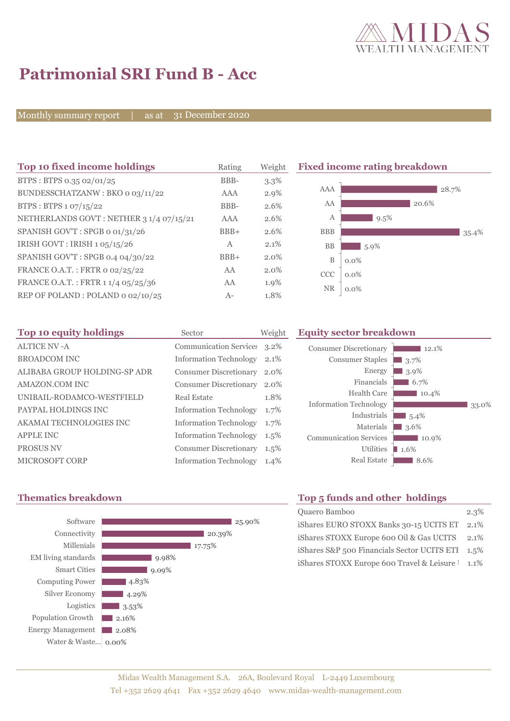

# **Patrimonial SRI Fund B - Acc**

Monthly summary report  $\overline{\phantom{a}}$ 

31 December 2020

| Top 10 fixed income holdings            | Rating       | Weight  | <b>Fixed income rating breakdown</b> |         |  |
|-----------------------------------------|--------------|---------|--------------------------------------|---------|--|
| BTPS: BTPS 0.35 02/01/25                | BBB-         | $3.3\%$ |                                      |         |  |
| BUNDESSCHATZANW: BKO 0 03/11/22         | AAA          | $2.9\%$ | AAA                                  | 28.7%   |  |
| BTPS : BTPS $1.07/15/22$                | BBB-         | 2.6%    | AA                                   | 20.6%   |  |
| NETHERLANDS GOVT: NETHER 3 1/4 07/15/21 | AAA          | 2.6%    | А                                    | 9.5%    |  |
| SPANISH GOV'T: SPGB o 01/31/26          | $BBB+$       | 2.6%    | <b>BBB</b>                           | 35.4%   |  |
| IRISH GOVT : IRISH $1.05/15/26$         | $\mathbf{A}$ | 2.1%    | BB                                   | $5.9\%$ |  |
| SPANISH GOV'T: SPGB 0.4 04/30/22        | $BBB+$       | $2.0\%$ | $\, {\bf B}$                         | $0.0\%$ |  |
| FRANCE O.A.T.: FRTR 0 02/25/22          | AA           | 2.0%    | <b>CCC</b>                           | $0.0\%$ |  |
| FRANCE O.A.T.: FRTR 1 1/4 05/25/36      | AA           | 1.9%    | <b>NR</b>                            | $0.0\%$ |  |
| REP OF POLAND: POLAND 0 02/10/25        | $A-$         | 1.8%    |                                      |         |  |

| Top 10 equity holdings<br>Sector |                               | Weight  | <b>Equity sector breakdown</b>             |                                 |
|----------------------------------|-------------------------------|---------|--------------------------------------------|---------------------------------|
| <b>ALTICE NV -A</b>              | <b>Communication Services</b> | $3.2\%$ | <b>Consumer Discretionary</b>              | 12.1%                           |
| <b>BROADCOM INC</b>              | <b>Information Technology</b> | 2.1%    | <b>Consumer Staples</b>                    | $\Box$ 3.7%                     |
| ALIBABA GROUP HOLDING-SP ADR     | <b>Consumer Discretionary</b> | 2.0%    | Energy                                     | $13.9\%$                        |
| AMAZON.COM INC                   | <b>Consumer Discretionary</b> | 2.0%    | Financials                                 | $6.7\%$                         |
| UNIBAIL-RODAMCO-WESTFIELD        | Real Estate                   | 1.8%    | Health Care                                | $10.4\%$                        |
| PAYPAL HOLDINGS INC              | <b>Information Technology</b> | 1.7%    | <b>Information Technology</b>              | 33.0%                           |
| AKAMAI TECHNOLOGIES INC          | <b>Information Technology</b> | 1.7%    | Industrials                                | $\blacksquare$ 5.4%             |
| <b>APPLE INC</b>                 | <b>Information Technology</b> | $1.5\%$ | Materials<br><b>Communication Services</b> | $\blacksquare$ 3.6%             |
| <b>PROSUS NV</b>                 | <b>Consumer Discretionary</b> | $1.5\%$ | Utilities                                  | $10.9\%$<br>$\blacksquare$ 1.6% |
| MICROSOFT CORP                   | <b>Information Technology</b> | 1.4%    | <b>Real Estate</b>                         | 8.6%                            |



## **Thematics breakdown Top 5 funds and other holdings**

| Quaero Bamboo                               | $2.3\%$ |
|---------------------------------------------|---------|
| iShares EURO STOXX Banks 30-15 UCITS ET     | 2.1\%   |
| iShares STOXX Europe 600 Oil & Gas UCITS    | $2.1\%$ |
| iShares S&P 500 Financials Sector UCITS ETI | $1.5\%$ |
| iShares STOXX Europe 600 Travel & Leisure   | $1.1\%$ |